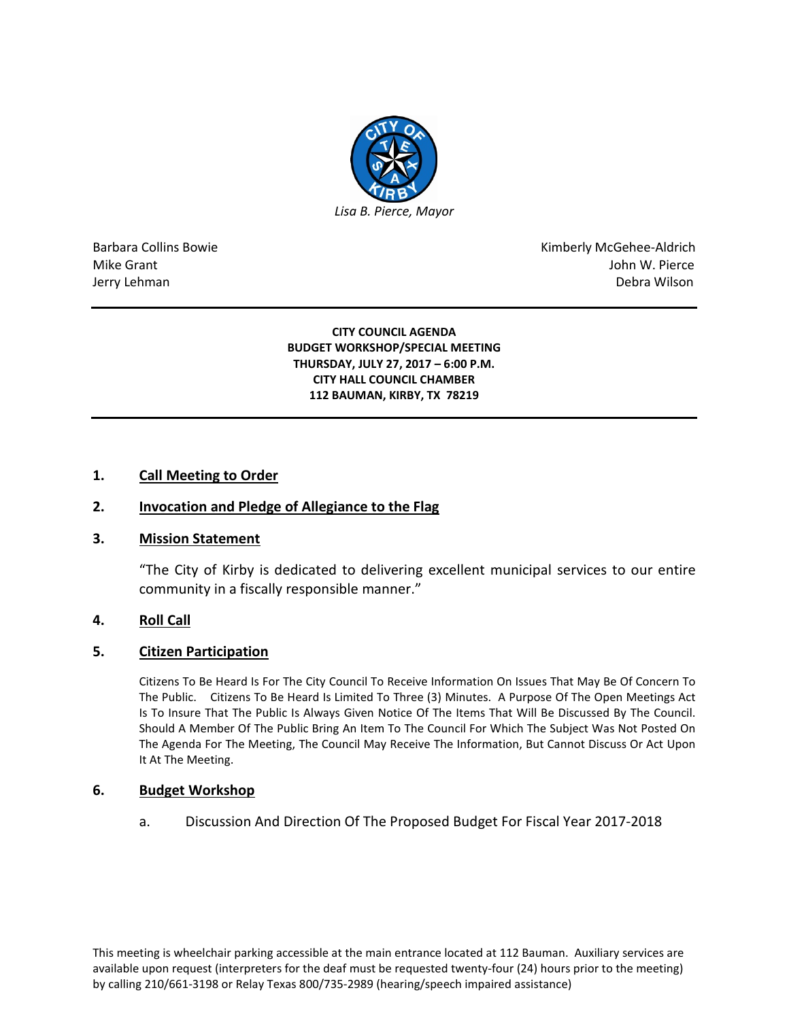

Barbara Collins Bowie **Kimberly McGehee-Aldrich** Mike Grant John W. Pierce Jerry Lehman Debra Wilson (2008) and the state of the state of the state of the state of the state of the state of the state of the state of the state of the state of the state of the state of the state of the state of the

> **CITY COUNCIL AGENDA BUDGET WORKSHOP/SPECIAL MEETING THURSDAY, JULY 27, 2017 – 6:00 P.M. CITY HALL COUNCIL CHAMBER 112 BAUMAN, KIRBY, TX 78219**

# **1. Call Meeting to Order**

# **2. Invocation and Pledge of Allegiance to the Flag**

### **3. Mission Statement**

"The City of Kirby is dedicated to delivering excellent municipal services to our entire community in a fiscally responsible manner."

# **4. Roll Call**

## **5. Citizen Participation**

Citizens To Be Heard Is For The City Council To Receive Information On Issues That May Be Of Concern To The Public. Citizens To Be Heard Is Limited To Three (3) Minutes. A Purpose Of The Open Meetings Act Is To Insure That The Public Is Always Given Notice Of The Items That Will Be Discussed By The Council. Should A Member Of The Public Bring An Item To The Council For Which The Subject Was Not Posted On The Agenda For The Meeting, The Council May Receive The Information, But Cannot Discuss Or Act Upon It At The Meeting.

### **6. Budget Workshop**

a. Discussion And Direction Of The Proposed Budget For Fiscal Year 2017-2018

This meeting is wheelchair parking accessible at the main entrance located at 112 Bauman. Auxiliary services are available upon request (interpreters for the deaf must be requested twenty-four (24) hours prior to the meeting) by calling 210/661-3198 or Relay Texas 800/735-2989 (hearing/speech impaired assistance)